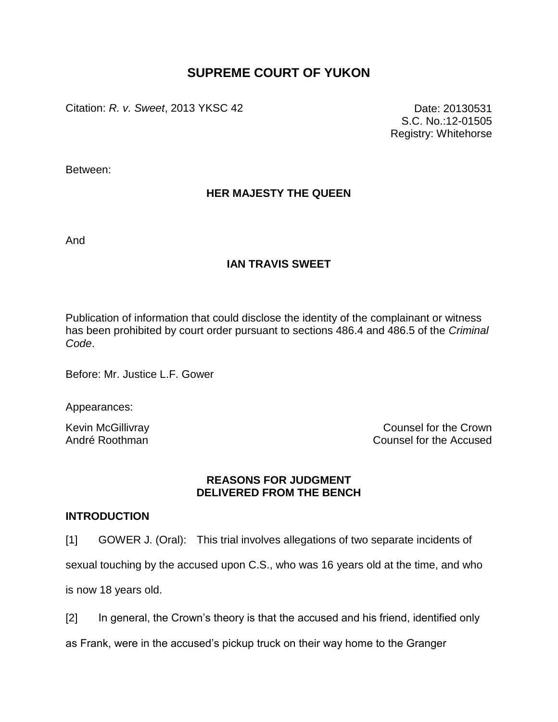# **SUPREME COURT OF YUKON**

Citation: *R. v. Sweet*, 2013 YKSC 42 Date: 20130531

S.C. No.:12-01505 Registry: Whitehorse

Between:

# **HER MAJESTY THE QUEEN**

And

## **IAN TRAVIS SWEET**

Publication of information that could disclose the identity of the complainant or witness has been prohibited by court order pursuant to sections 486.4 and 486.5 of the *Criminal Code*.

Before: Mr. Justice L.F. Gower

Appearances:

Kevin McGillivray **Counsel for the Crown** André Roothman Counsel for the Accused

## **REASONS FOR JUDGMENT DELIVERED FROM THE BENCH**

## **INTRODUCTION**

[1] GOWER J. (Oral): This trial involves allegations of two separate incidents of

sexual touching by the accused upon C.S., who was 16 years old at the time, and who

is now 18 years old.

[2] In general, the Crown"s theory is that the accused and his friend, identified only

as Frank, were in the accused"s pickup truck on their way home to the Granger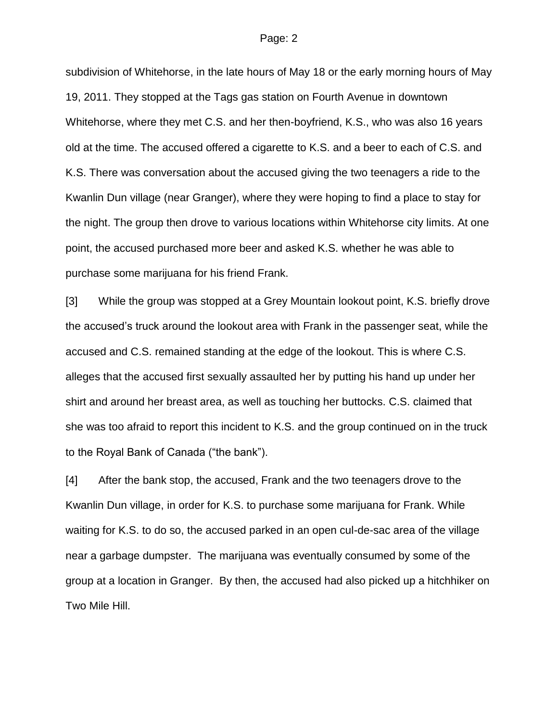subdivision of Whitehorse, in the late hours of May 18 or the early morning hours of May 19, 2011. They stopped at the Tags gas station on Fourth Avenue in downtown Whitehorse, where they met C.S. and her then-boyfriend, K.S., who was also 16 years old at the time. The accused offered a cigarette to K.S. and a beer to each of C.S. and K.S. There was conversation about the accused giving the two teenagers a ride to the Kwanlin Dun village (near Granger), where they were hoping to find a place to stay for the night. The group then drove to various locations within Whitehorse city limits. At one point, the accused purchased more beer and asked K.S. whether he was able to purchase some marijuana for his friend Frank.

[3] While the group was stopped at a Grey Mountain lookout point, K.S. briefly drove the accused"s truck around the lookout area with Frank in the passenger seat, while the accused and C.S. remained standing at the edge of the lookout. This is where C.S. alleges that the accused first sexually assaulted her by putting his hand up under her shirt and around her breast area, as well as touching her buttocks. C.S. claimed that she was too afraid to report this incident to K.S. and the group continued on in the truck to the Royal Bank of Canada ("the bank").

[4] After the bank stop, the accused, Frank and the two teenagers drove to the Kwanlin Dun village, in order for K.S. to purchase some marijuana for Frank. While waiting for K.S. to do so, the accused parked in an open cul-de-sac area of the village near a garbage dumpster. The marijuana was eventually consumed by some of the group at a location in Granger. By then, the accused had also picked up a hitchhiker on Two Mile Hill.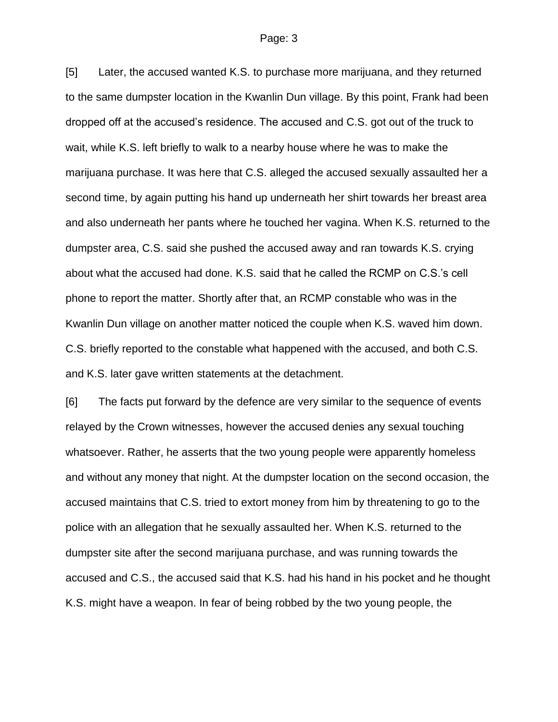[5] Later, the accused wanted K.S. to purchase more marijuana, and they returned to the same dumpster location in the Kwanlin Dun village. By this point, Frank had been dropped off at the accused"s residence. The accused and C.S. got out of the truck to wait, while K.S. left briefly to walk to a nearby house where he was to make the marijuana purchase. It was here that C.S. alleged the accused sexually assaulted her a second time, by again putting his hand up underneath her shirt towards her breast area and also underneath her pants where he touched her vagina. When K.S. returned to the dumpster area, C.S. said she pushed the accused away and ran towards K.S. crying about what the accused had done. K.S. said that he called the RCMP on C.S."s cell phone to report the matter. Shortly after that, an RCMP constable who was in the Kwanlin Dun village on another matter noticed the couple when K.S. waved him down. C.S. briefly reported to the constable what happened with the accused, and both C.S. and K.S. later gave written statements at the detachment.

[6] The facts put forward by the defence are very similar to the sequence of events relayed by the Crown witnesses, however the accused denies any sexual touching whatsoever. Rather, he asserts that the two young people were apparently homeless and without any money that night. At the dumpster location on the second occasion, the accused maintains that C.S. tried to extort money from him by threatening to go to the police with an allegation that he sexually assaulted her. When K.S. returned to the dumpster site after the second marijuana purchase, and was running towards the accused and C.S., the accused said that K.S. had his hand in his pocket and he thought K.S. might have a weapon. In fear of being robbed by the two young people, the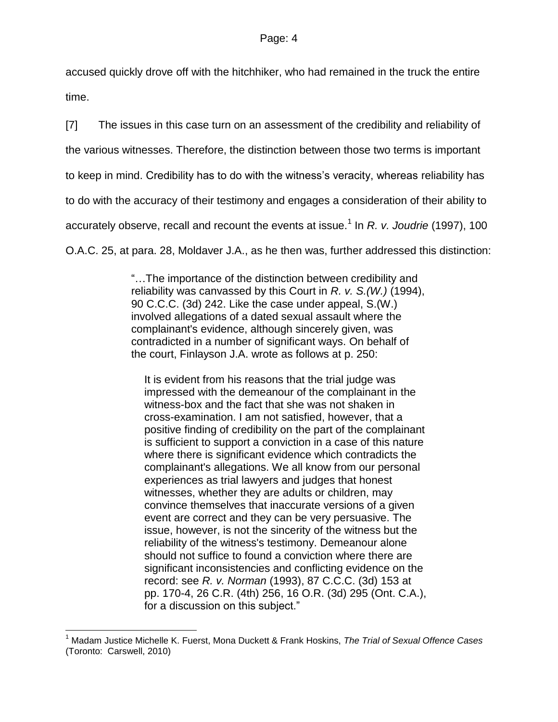accused quickly drove off with the hitchhiker, who had remained in the truck the entire time.

[7] The issues in this case turn on an assessment of the credibility and reliability of the various witnesses. Therefore, the distinction between those two terms is important to keep in mind. Credibility has to do with the witness"s veracity, whereas reliability has to do with the accuracy of their testimony and engages a consideration of their ability to accurately observe, recall and recount the events at issue.<sup>1</sup> In *R. v. Joudrie* (1997), 100 O.A.C. 25, at para. 28, Moldaver J.A., as he then was, further addressed this distinction:

> "…The importance of the distinction between credibility and reliability was canvassed by this Court in *R. v. S.(W.)* [\(1994\),](http://www.lexisnexis.com/ca/legal/search/runRemoteLink.do?langcountry=CA&linkInfo=F%23CA%23CCC3%23decisiondate%251994%25sel2%2590%25year%251994%25page%25242%25sel1%251994%25vol%2590%25&risb=21_T17207931864&bct=A&service=citation&A=0.7458902034489023)  [90 C.C.C. \(3d\) 242.](http://www.lexisnexis.com/ca/legal/search/runRemoteLink.do?langcountry=CA&linkInfo=F%23CA%23CCC3%23decisiondate%251994%25sel2%2590%25year%251994%25page%25242%25sel1%251994%25vol%2590%25&risb=21_T17207931864&bct=A&service=citation&A=0.7458902034489023) Like the case under appeal, S.(W.) involved allegations of a dated sexual assault where the complainant's evidence, although sincerely given, was contradicted in a number of significant ways. On behalf of the court, Finlayson J.A. wrote as follows at p. 250:

It is evident from his reasons that the trial judge was impressed with the demeanour of the complainant in the witness-box and the fact that she was not shaken in cross-examination. I am not satisfied, however, that a positive finding of credibility on the part of the complainant is sufficient to support a conviction in a case of this nature where there is significant evidence which contradicts the complainant's allegations. We all know from our personal experiences as trial lawyers and judges that honest witnesses, whether they are adults or children, may convince themselves that inaccurate versions of a given event are correct and they can be very persuasive. The issue, however, is not the sincerity of the witness but the reliability of the witness's testimony. Demeanour alone should not suffice to found a conviction where there are significant inconsistencies and conflicting evidence on the record: see *R. v. Norman* (1993), [87 C.C.C. \(3d\) 153](http://www.lexisnexis.com/ca/legal/search/runRemoteLink.do?langcountry=CA&linkInfo=F%23CA%23CCC3%23decisiondate%251993%25sel2%2587%25year%251993%25page%25153%25sel1%251993%25vol%2587%25&risb=21_T17207931864&bct=A&service=citation&A=0.30023636622955596) at pp. 170-4, [26 C.R. \(4th\) 256,](http://www.lexisnexis.com/ca/legal/search/runRemoteLink.do?langcountry=CA&linkInfo=F%23CA%23CR4%23sel2%2526%25page%25256%25vol%2526%25&risb=21_T17207931864&bct=A&service=citation&A=0.9696875702249318) [16 O.R. \(3d\) 295](http://www.lexisnexis.com/ca/legal/search/runRemoteLink.do?langcountry=CA&linkInfo=F%23CA%23OR3%23sel2%2516%25page%25295%25vol%2516%25&risb=21_T17207931864&bct=A&service=citation&A=0.7608580412113423) (Ont. C.A.), for a discussion on this subject."

 $\overline{a}$ 

<sup>1</sup> Madam Justice Michelle K. Fuerst, Mona Duckett & Frank Hoskins, *The Trial of Sexual Offence Cases* (Toronto: Carswell, 2010)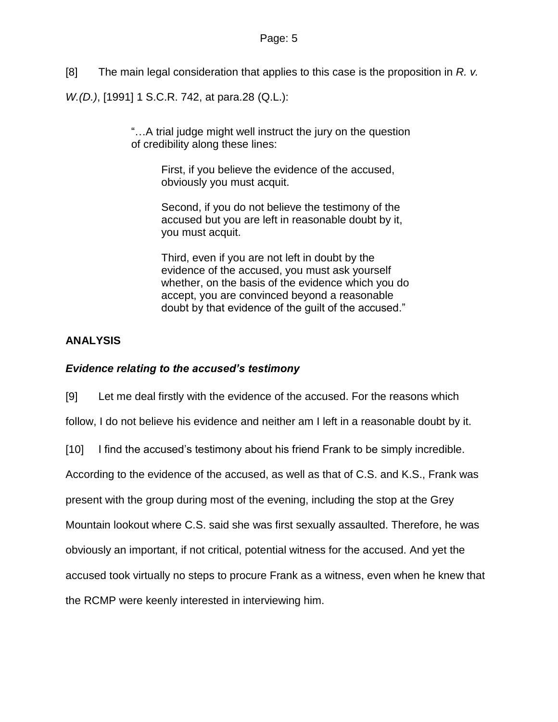[8] The main legal consideration that applies to this case is the proposition in *R. v.*

*W.(D.)*, [1991] 1 S.C.R. 742, at para.28 (Q.L.):

"…A trial judge might well instruct the jury on the question of credibility along these lines:

> First, if you believe the evidence of the accused, obviously you must acquit.

Second, if you do not believe the testimony of the accused but you are left in reasonable doubt by it, you must acquit.

Third, even if you are not left in doubt by the evidence of the accused, you must ask yourself whether, on the basis of the evidence which you do accept, you are convinced beyond a reasonable doubt by that evidence of the guilt of the accused."

# **ANALYSIS**

## *Evidence relating to the accused's testimony*

[9] Let me deal firstly with the evidence of the accused. For the reasons which

follow, I do not believe his evidence and neither am I left in a reasonable doubt by it.

[10] I find the accused"s testimony about his friend Frank to be simply incredible.

According to the evidence of the accused, as well as that of C.S. and K.S., Frank was

present with the group during most of the evening, including the stop at the Grey

Mountain lookout where C.S. said she was first sexually assaulted. Therefore, he was

obviously an important, if not critical, potential witness for the accused. And yet the

accused took virtually no steps to procure Frank as a witness, even when he knew that

the RCMP were keenly interested in interviewing him.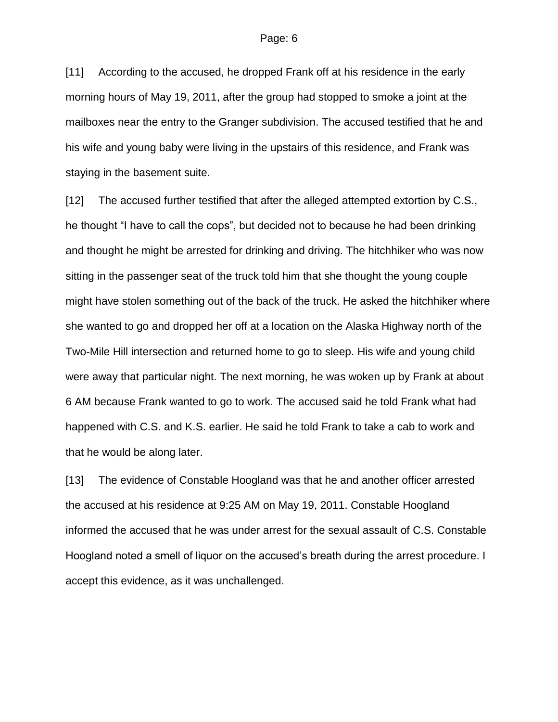[11] According to the accused, he dropped Frank off at his residence in the early morning hours of May 19, 2011, after the group had stopped to smoke a joint at the mailboxes near the entry to the Granger subdivision. The accused testified that he and his wife and young baby were living in the upstairs of this residence, and Frank was staying in the basement suite.

[12] The accused further testified that after the alleged attempted extortion by C.S., he thought "I have to call the cops", but decided not to because he had been drinking and thought he might be arrested for drinking and driving. The hitchhiker who was now sitting in the passenger seat of the truck told him that she thought the young couple might have stolen something out of the back of the truck. He asked the hitchhiker where she wanted to go and dropped her off at a location on the Alaska Highway north of the Two-Mile Hill intersection and returned home to go to sleep. His wife and young child were away that particular night. The next morning, he was woken up by Frank at about 6 AM because Frank wanted to go to work. The accused said he told Frank what had happened with C.S. and K.S. earlier. He said he told Frank to take a cab to work and that he would be along later.

[13] The evidence of Constable Hoogland was that he and another officer arrested the accused at his residence at 9:25 AM on May 19, 2011. Constable Hoogland informed the accused that he was under arrest for the sexual assault of C.S. Constable Hoogland noted a smell of liquor on the accused"s breath during the arrest procedure. I accept this evidence, as it was unchallenged.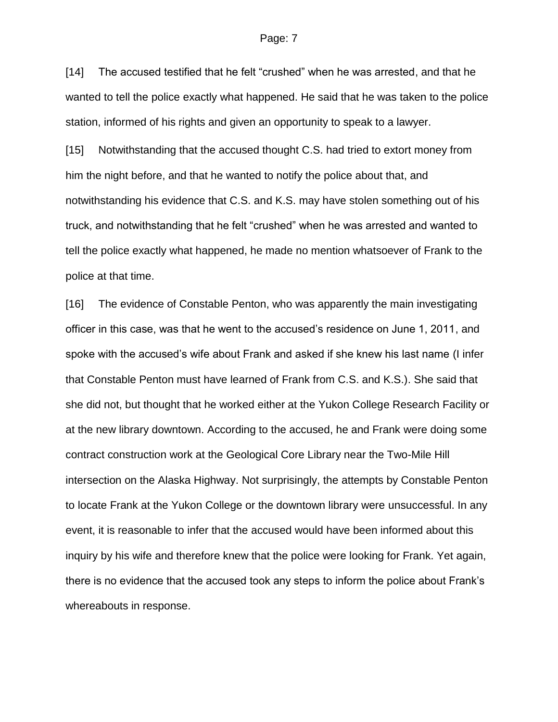[14] The accused testified that he felt "crushed" when he was arrested, and that he wanted to tell the police exactly what happened. He said that he was taken to the police station, informed of his rights and given an opportunity to speak to a lawyer.

[15] Notwithstanding that the accused thought C.S. had tried to extort money from him the night before, and that he wanted to notify the police about that, and notwithstanding his evidence that C.S. and K.S. may have stolen something out of his truck, and notwithstanding that he felt "crushed" when he was arrested and wanted to tell the police exactly what happened, he made no mention whatsoever of Frank to the police at that time.

[16] The evidence of Constable Penton, who was apparently the main investigating officer in this case, was that he went to the accused"s residence on June 1, 2011, and spoke with the accused"s wife about Frank and asked if she knew his last name (I infer that Constable Penton must have learned of Frank from C.S. and K.S.). She said that she did not, but thought that he worked either at the Yukon College Research Facility or at the new library downtown. According to the accused, he and Frank were doing some contract construction work at the Geological Core Library near the Two-Mile Hill intersection on the Alaska Highway. Not surprisingly, the attempts by Constable Penton to locate Frank at the Yukon College or the downtown library were unsuccessful. In any event, it is reasonable to infer that the accused would have been informed about this inquiry by his wife and therefore knew that the police were looking for Frank. Yet again, there is no evidence that the accused took any steps to inform the police about Frank"s whereabouts in response.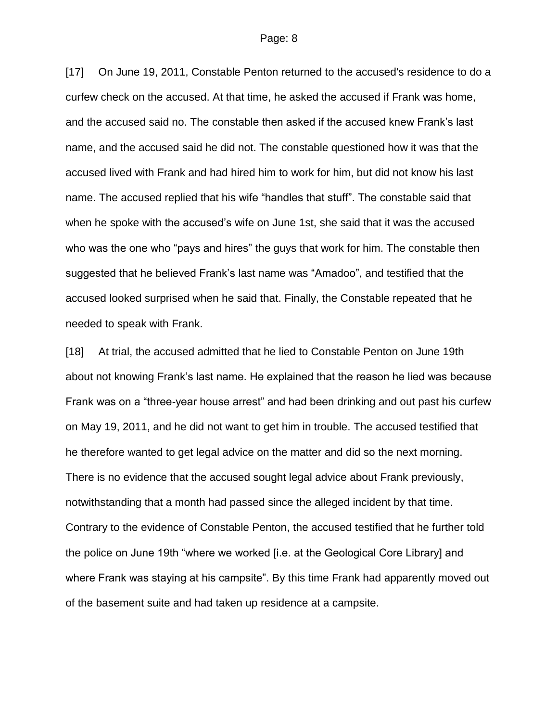[17] On June 19, 2011, Constable Penton returned to the accused's residence to do a curfew check on the accused. At that time, he asked the accused if Frank was home, and the accused said no. The constable then asked if the accused knew Frank"s last name, and the accused said he did not. The constable questioned how it was that the accused lived with Frank and had hired him to work for him, but did not know his last name. The accused replied that his wife "handles that stuff". The constable said that when he spoke with the accused's wife on June 1st, she said that it was the accused who was the one who "pays and hires" the guys that work for him. The constable then suggested that he believed Frank"s last name was "Amadoo", and testified that the accused looked surprised when he said that. Finally, the Constable repeated that he needed to speak with Frank.

[18] At trial, the accused admitted that he lied to Constable Penton on June 19th about not knowing Frank"s last name. He explained that the reason he lied was because Frank was on a "three-year house arrest" and had been drinking and out past his curfew on May 19, 2011, and he did not want to get him in trouble. The accused testified that he therefore wanted to get legal advice on the matter and did so the next morning. There is no evidence that the accused sought legal advice about Frank previously, notwithstanding that a month had passed since the alleged incident by that time. Contrary to the evidence of Constable Penton, the accused testified that he further told the police on June 19th "where we worked [i.e. at the Geological Core Library] and where Frank was staying at his campsite". By this time Frank had apparently moved out of the basement suite and had taken up residence at a campsite.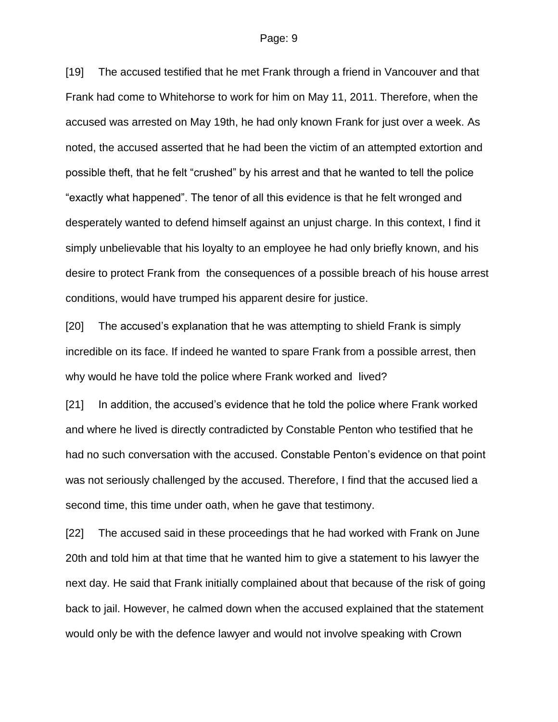[19] The accused testified that he met Frank through a friend in Vancouver and that Frank had come to Whitehorse to work for him on May 11, 2011. Therefore, when the accused was arrested on May 19th, he had only known Frank for just over a week. As noted, the accused asserted that he had been the victim of an attempted extortion and possible theft, that he felt "crushed" by his arrest and that he wanted to tell the police "exactly what happened". The tenor of all this evidence is that he felt wronged and desperately wanted to defend himself against an unjust charge. In this context, I find it simply unbelievable that his loyalty to an employee he had only briefly known, and his desire to protect Frank from the consequences of a possible breach of his house arrest conditions, would have trumped his apparent desire for justice.

[20] The accused"s explanation that he was attempting to shield Frank is simply incredible on its face. If indeed he wanted to spare Frank from a possible arrest, then why would he have told the police where Frank worked and lived?

[21] In addition, the accused"s evidence that he told the police where Frank worked and where he lived is directly contradicted by Constable Penton who testified that he had no such conversation with the accused. Constable Penton"s evidence on that point was not seriously challenged by the accused. Therefore, I find that the accused lied a second time, this time under oath, when he gave that testimony.

[22] The accused said in these proceedings that he had worked with Frank on June 20th and told him at that time that he wanted him to give a statement to his lawyer the next day. He said that Frank initially complained about that because of the risk of going back to jail. However, he calmed down when the accused explained that the statement would only be with the defence lawyer and would not involve speaking with Crown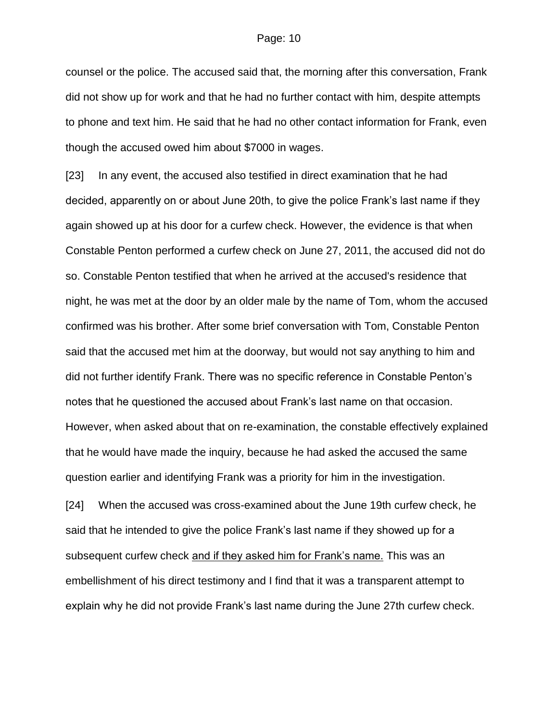counsel or the police. The accused said that, the morning after this conversation, Frank did not show up for work and that he had no further contact with him, despite attempts to phone and text him. He said that he had no other contact information for Frank, even though the accused owed him about \$7000 in wages.

[23] In any event, the accused also testified in direct examination that he had decided, apparently on or about June 20th, to give the police Frank"s last name if they again showed up at his door for a curfew check. However, the evidence is that when Constable Penton performed a curfew check on June 27, 2011, the accused did not do so. Constable Penton testified that when he arrived at the accused's residence that night, he was met at the door by an older male by the name of Tom, whom the accused confirmed was his brother. After some brief conversation with Tom, Constable Penton said that the accused met him at the doorway, but would not say anything to him and did not further identify Frank. There was no specific reference in Constable Penton"s notes that he questioned the accused about Frank"s last name on that occasion. However, when asked about that on re-examination, the constable effectively explained that he would have made the inquiry, because he had asked the accused the same question earlier and identifying Frank was a priority for him in the investigation.

[24] When the accused was cross-examined about the June 19th curfew check, he said that he intended to give the police Frank's last name if they showed up for a subsequent curfew check and if they asked him for Frank's name. This was an embellishment of his direct testimony and I find that it was a transparent attempt to explain why he did not provide Frank"s last name during the June 27th curfew check.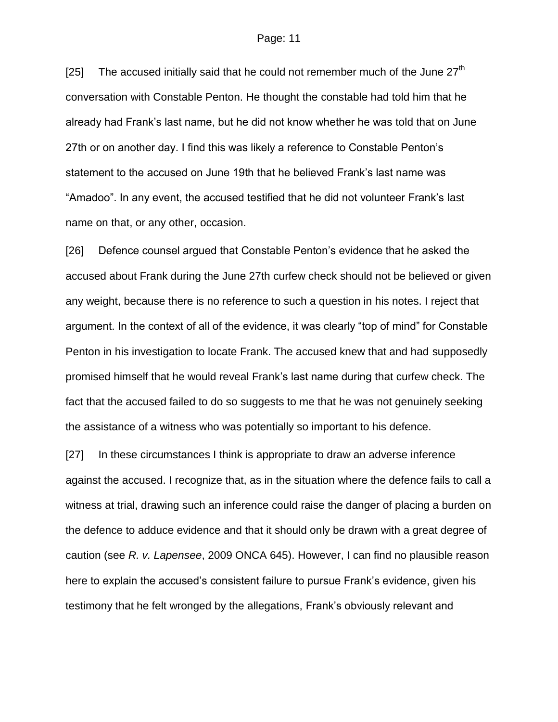[25] The accused initially said that he could not remember much of the June  $27<sup>th</sup>$ conversation with Constable Penton. He thought the constable had told him that he already had Frank"s last name, but he did not know whether he was told that on June 27th or on another day. I find this was likely a reference to Constable Penton"s statement to the accused on June 19th that he believed Frank"s last name was "Amadoo". In any event, the accused testified that he did not volunteer Frank"s last name on that, or any other, occasion.

[26] Defence counsel argued that Constable Penton"s evidence that he asked the accused about Frank during the June 27th curfew check should not be believed or given any weight, because there is no reference to such a question in his notes. I reject that argument. In the context of all of the evidence, it was clearly "top of mind" for Constable Penton in his investigation to locate Frank. The accused knew that and had supposedly promised himself that he would reveal Frank"s last name during that curfew check. The fact that the accused failed to do so suggests to me that he was not genuinely seeking the assistance of a witness who was potentially so important to his defence.

[27] In these circumstances I think is appropriate to draw an adverse inference against the accused. I recognize that, as in the situation where the defence fails to call a witness at trial, drawing such an inference could raise the danger of placing a burden on the defence to adduce evidence and that it should only be drawn with a great degree of caution (see *R. v. Lapensee*, 2009 ONCA 645). However, I can find no plausible reason here to explain the accused's consistent failure to pursue Frank's evidence, given his testimony that he felt wronged by the allegations, Frank"s obviously relevant and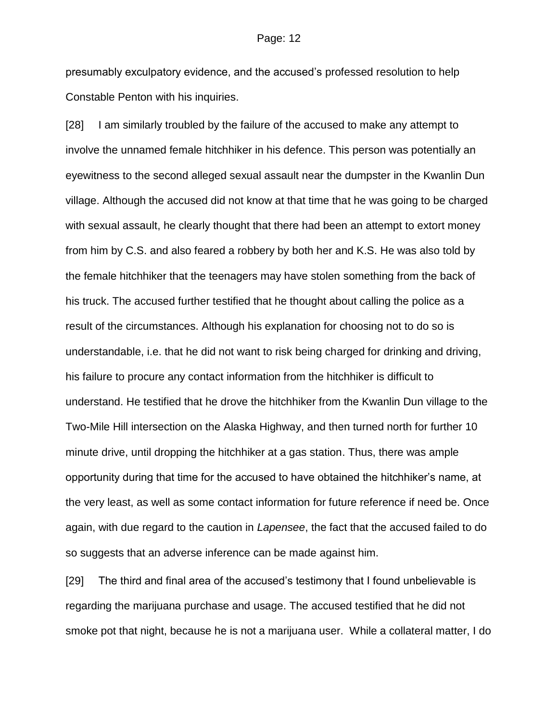presumably exculpatory evidence, and the accused"s professed resolution to help Constable Penton with his inquiries.

[28] I am similarly troubled by the failure of the accused to make any attempt to involve the unnamed female hitchhiker in his defence. This person was potentially an eyewitness to the second alleged sexual assault near the dumpster in the Kwanlin Dun village. Although the accused did not know at that time that he was going to be charged with sexual assault, he clearly thought that there had been an attempt to extort money from him by C.S. and also feared a robbery by both her and K.S. He was also told by the female hitchhiker that the teenagers may have stolen something from the back of his truck. The accused further testified that he thought about calling the police as a result of the circumstances. Although his explanation for choosing not to do so is understandable, i.e. that he did not want to risk being charged for drinking and driving, his failure to procure any contact information from the hitchhiker is difficult to understand. He testified that he drove the hitchhiker from the Kwanlin Dun village to the Two-Mile Hill intersection on the Alaska Highway, and then turned north for further 10 minute drive, until dropping the hitchhiker at a gas station. Thus, there was ample opportunity during that time for the accused to have obtained the hitchhiker"s name, at the very least, as well as some contact information for future reference if need be. Once again, with due regard to the caution in *Lapensee*, the fact that the accused failed to do so suggests that an adverse inference can be made against him.

[29] The third and final area of the accused"s testimony that I found unbelievable is regarding the marijuana purchase and usage. The accused testified that he did not smoke pot that night, because he is not a marijuana user. While a collateral matter, I do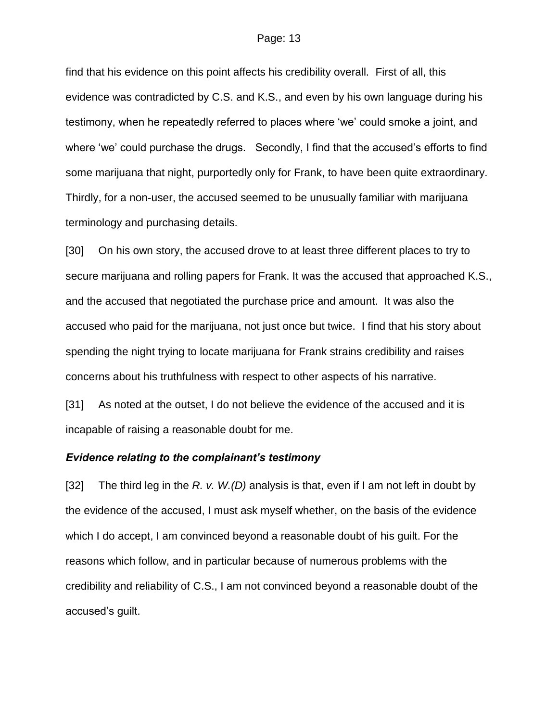find that his evidence on this point affects his credibility overall. First of all, this evidence was contradicted by C.S. and K.S., and even by his own language during his testimony, when he repeatedly referred to places where "we" could smoke a joint, and where 'we' could purchase the drugs. Secondly, I find that the accused's efforts to find some marijuana that night, purportedly only for Frank, to have been quite extraordinary. Thirdly, for a non-user, the accused seemed to be unusually familiar with marijuana terminology and purchasing details.

[30] On his own story, the accused drove to at least three different places to try to secure marijuana and rolling papers for Frank. It was the accused that approached K.S., and the accused that negotiated the purchase price and amount. It was also the accused who paid for the marijuana, not just once but twice. I find that his story about spending the night trying to locate marijuana for Frank strains credibility and raises concerns about his truthfulness with respect to other aspects of his narrative.

[31] As noted at the outset, I do not believe the evidence of the accused and it is incapable of raising a reasonable doubt for me.

#### *Evidence relating to the complainant's testimony*

[32] The third leg in the *R. v. W.(D)* analysis is that, even if I am not left in doubt by the evidence of the accused, I must ask myself whether, on the basis of the evidence which I do accept, I am convinced beyond a reasonable doubt of his guilt. For the reasons which follow, and in particular because of numerous problems with the credibility and reliability of C.S., I am not convinced beyond a reasonable doubt of the accused"s guilt.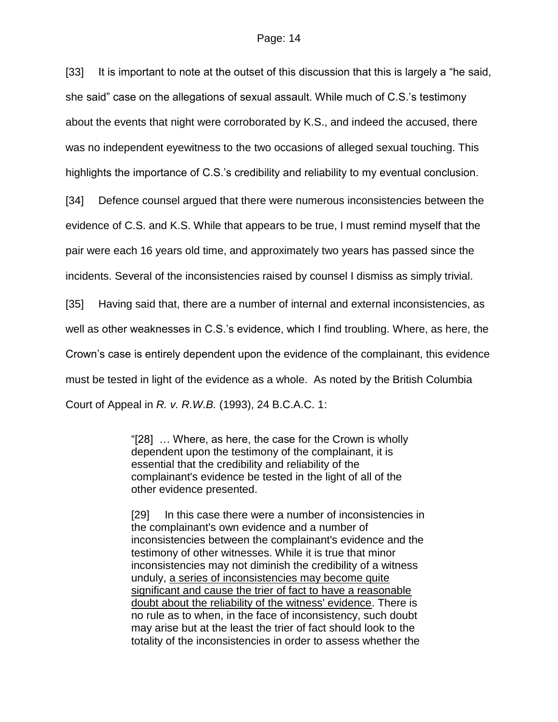[33] It is important to note at the outset of this discussion that this is largely a "he said, she said" case on the allegations of sexual assault. While much of C.S."s testimony about the events that night were corroborated by K.S., and indeed the accused, there was no independent eyewitness to the two occasions of alleged sexual touching. This highlights the importance of C.S."s credibility and reliability to my eventual conclusion.

[34] Defence counsel argued that there were numerous inconsistencies between the evidence of C.S. and K.S. While that appears to be true, I must remind myself that the pair were each 16 years old time, and approximately two years has passed since the incidents. Several of the inconsistencies raised by counsel I dismiss as simply trivial.

[35] Having said that, there are a number of internal and external inconsistencies, as well as other weaknesses in C.S."s evidence, which I find troubling. Where, as here, the Crown"s case is entirely dependent upon the evidence of the complainant, this evidence must be tested in light of the evidence as a whole. As noted by the British Columbia Court of Appeal in *R. v. R.W.B.* (1993), 24 B.C.A.C. 1:

> "[28] … Where, as here, the case for the Crown is wholly dependent upon the testimony of the complainant, it is essential that the credibility and reliability of the complainant's evidence be tested in the light of all of the other evidence presented.

[29] In this case there were a number of inconsistencies in the complainant's own evidence and a number of inconsistencies between the complainant's evidence and the testimony of other witnesses. While it is true that minor inconsistencies may not diminish the credibility of a witness unduly, a series of inconsistencies may become quite significant and cause the trier of fact to have a reasonable doubt about the reliability of the witness' evidence. There is no rule as to when, in the face of inconsistency, such doubt may arise but at the least the trier of fact should look to the totality of the inconsistencies in order to assess whether the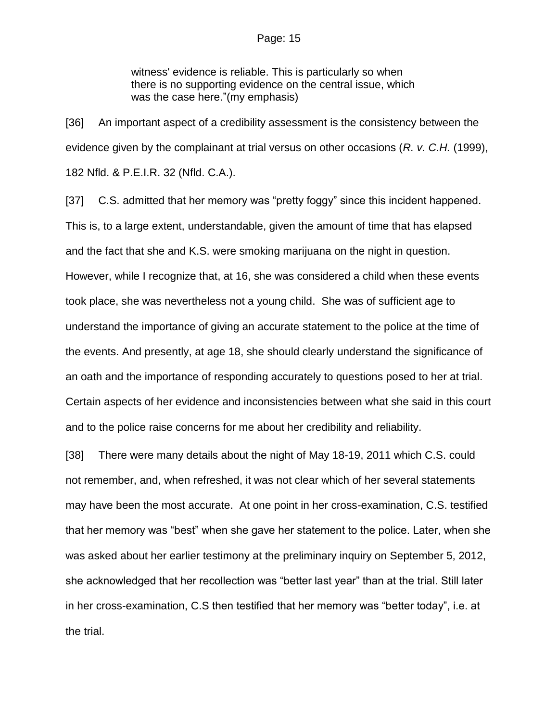witness' evidence is reliable. This is particularly so when there is no supporting evidence on the central issue, which was the case here."(my emphasis)

[36] An important aspect of a credibility assessment is the consistency between the evidence given by the complainant at trial versus on other occasions (*R. v. C.H.* (1999), 182 Nfld. & P.E.I.R. 32 (Nfld. C.A.).

[37] C.S. admitted that her memory was "pretty foggy" since this incident happened. This is, to a large extent, understandable, given the amount of time that has elapsed and the fact that she and K.S. were smoking marijuana on the night in question. However, while I recognize that, at 16, she was considered a child when these events took place, she was nevertheless not a young child. She was of sufficient age to understand the importance of giving an accurate statement to the police at the time of the events. And presently, at age 18, she should clearly understand the significance of an oath and the importance of responding accurately to questions posed to her at trial. Certain aspects of her evidence and inconsistencies between what she said in this court and to the police raise concerns for me about her credibility and reliability.

[38] There were many details about the night of May 18-19, 2011 which C.S. could not remember, and, when refreshed, it was not clear which of her several statements may have been the most accurate. At one point in her cross-examination, C.S. testified that her memory was "best" when she gave her statement to the police. Later, when she was asked about her earlier testimony at the preliminary inquiry on September 5, 2012, she acknowledged that her recollection was "better last year" than at the trial. Still later in her cross-examination, C.S then testified that her memory was "better today", i.e. at the trial.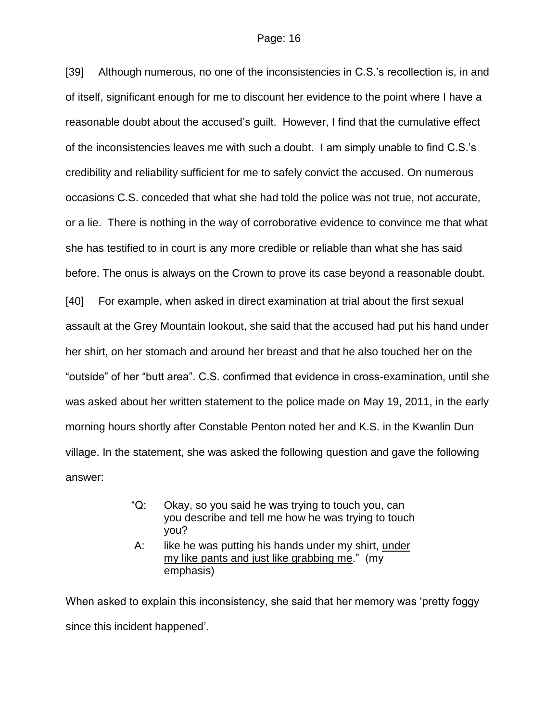[39] Although numerous, no one of the inconsistencies in C.S."s recollection is, in and of itself, significant enough for me to discount her evidence to the point where I have a reasonable doubt about the accused"s guilt. However, I find that the cumulative effect of the inconsistencies leaves me with such a doubt. I am simply unable to find C.S."s credibility and reliability sufficient for me to safely convict the accused. On numerous occasions C.S. conceded that what she had told the police was not true, not accurate, or a lie. There is nothing in the way of corroborative evidence to convince me that what she has testified to in court is any more credible or reliable than what she has said before. The onus is always on the Crown to prove its case beyond a reasonable doubt. [40] For example, when asked in direct examination at trial about the first sexual assault at the Grey Mountain lookout, she said that the accused had put his hand under her shirt, on her stomach and around her breast and that he also touched her on the "outside" of her "butt area". C.S. confirmed that evidence in cross-examination, until she was asked about her written statement to the police made on May 19, 2011, in the early morning hours shortly after Constable Penton noted her and K.S. in the Kwanlin Dun village. In the statement, she was asked the following question and gave the following answer:

- "Q: Okay, so you said he was trying to touch you, can you describe and tell me how he was trying to touch you?
- A: like he was putting his hands under my shirt, under my like pants and just like grabbing me." (my emphasis)

When asked to explain this inconsistency, she said that her memory was "pretty foggy since this incident happened".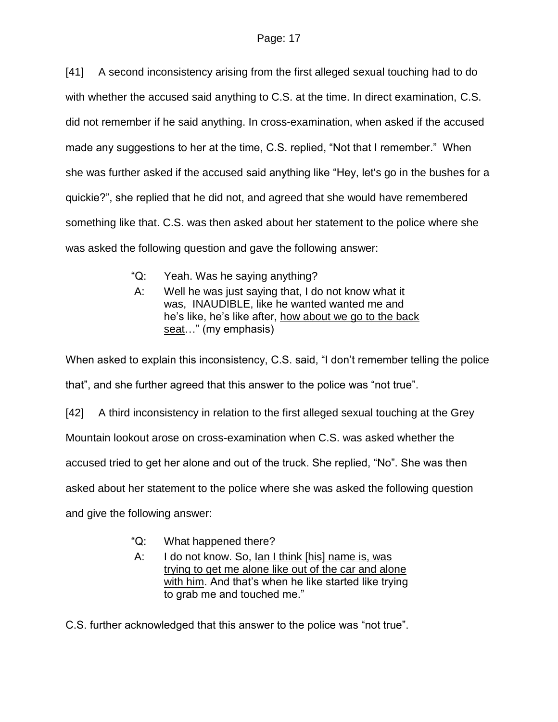[41] A second inconsistency arising from the first alleged sexual touching had to do with whether the accused said anything to C.S. at the time. In direct examination, C.S. did not remember if he said anything. In cross-examination, when asked if the accused made any suggestions to her at the time, C.S. replied, "Not that I remember." When she was further asked if the accused said anything like "Hey, let's go in the bushes for a quickie?", she replied that he did not, and agreed that she would have remembered something like that. C.S. was then asked about her statement to the police where she was asked the following question and gave the following answer:

- "Q: Yeah. Was he saying anything?
- A: Well he was just saying that, I do not know what it was, INAUDIBLE, like he wanted wanted me and he"s like, he"s like after, how about we go to the back seat…" (my emphasis)

When asked to explain this inconsistency, C.S. said, "I don"t remember telling the police that", and she further agreed that this answer to the police was "not true".

[42] A third inconsistency in relation to the first alleged sexual touching at the Grey Mountain lookout arose on cross-examination when C.S. was asked whether the accused tried to get her alone and out of the truck. She replied, "No". She was then asked about her statement to the police where she was asked the following question and give the following answer:

- "Q: What happened there?
- A: I do not know. So, Ian I think [his] name is, was trying to get me alone like out of the car and alone with him. And that's when he like started like trying to grab me and touched me."

C.S. further acknowledged that this answer to the police was "not true".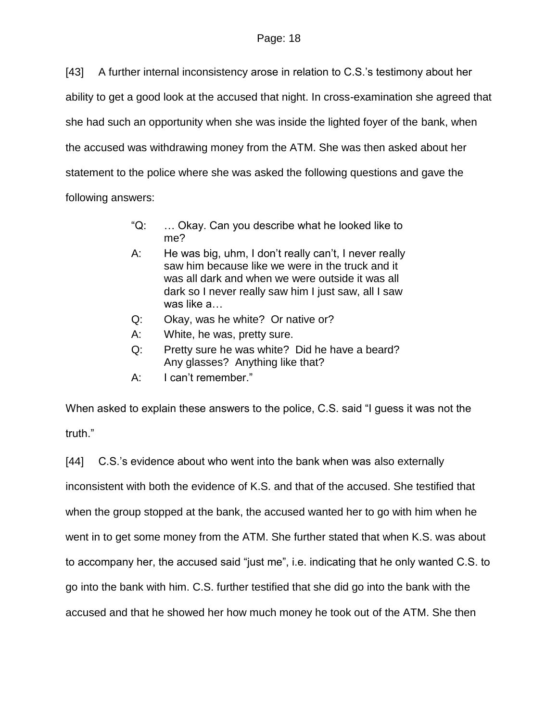[43] A further internal inconsistency arose in relation to C.S."s testimony about her ability to get a good look at the accused that night. In cross-examination she agreed that she had such an opportunity when she was inside the lighted foyer of the bank, when the accused was withdrawing money from the ATM. She was then asked about her statement to the police where she was asked the following questions and gave the following answers:

- "Q: … Okay. Can you describe what he looked like to me?
- A: He was big, uhm, I don't really can't, I never really saw him because like we were in the truck and it was all dark and when we were outside it was all dark so I never really saw him I just saw, all I saw was like a…
- Q: Okay, was he white? Or native or?
- A: White, he was, pretty sure.
- Q: Pretty sure he was white? Did he have a beard? Any glasses? Anything like that?
- A: I can"t remember."

When asked to explain these answers to the police, C.S. said "I guess it was not the truth."

[44] C.S.'s evidence about who went into the bank when was also externally inconsistent with both the evidence of K.S. and that of the accused. She testified that when the group stopped at the bank, the accused wanted her to go with him when he went in to get some money from the ATM. She further stated that when K.S. was about to accompany her, the accused said "just me", i.e. indicating that he only wanted C.S. to go into the bank with him. C.S. further testified that she did go into the bank with the accused and that he showed her how much money he took out of the ATM. She then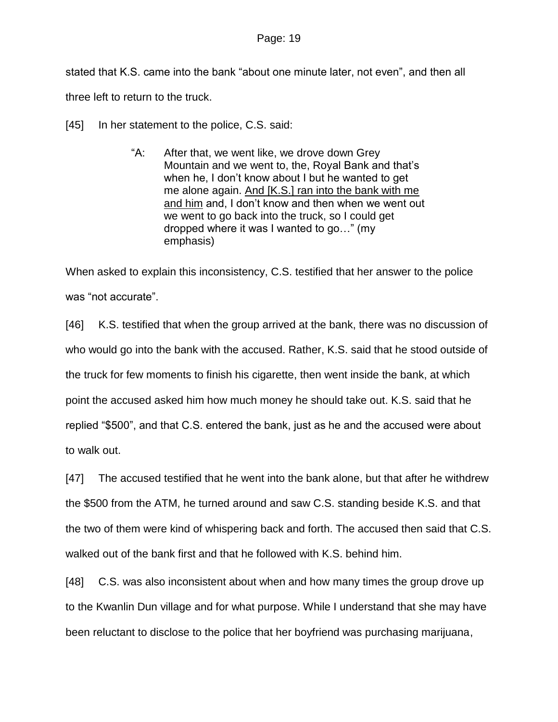stated that K.S. came into the bank "about one minute later, not even", and then all three left to return to the truck.

[45] In her statement to the police, C.S. said:

"A: After that, we went like, we drove down Grey Mountain and we went to, the, Royal Bank and that's when he, I don't know about I but he wanted to get me alone again. And [K.S.] ran into the bank with me and him and, I don"t know and then when we went out we went to go back into the truck, so I could get dropped where it was I wanted to go…" (my emphasis)

When asked to explain this inconsistency, C.S. testified that her answer to the police was "not accurate".

[46] K.S. testified that when the group arrived at the bank, there was no discussion of who would go into the bank with the accused. Rather, K.S. said that he stood outside of the truck for few moments to finish his cigarette, then went inside the bank, at which point the accused asked him how much money he should take out. K.S. said that he replied "\$500", and that C.S. entered the bank, just as he and the accused were about to walk out.

[47] The accused testified that he went into the bank alone, but that after he withdrew the \$500 from the ATM, he turned around and saw C.S. standing beside K.S. and that the two of them were kind of whispering back and forth. The accused then said that C.S. walked out of the bank first and that he followed with K.S. behind him.

[48] C.S. was also inconsistent about when and how many times the group drove up to the Kwanlin Dun village and for what purpose. While I understand that she may have been reluctant to disclose to the police that her boyfriend was purchasing marijuana,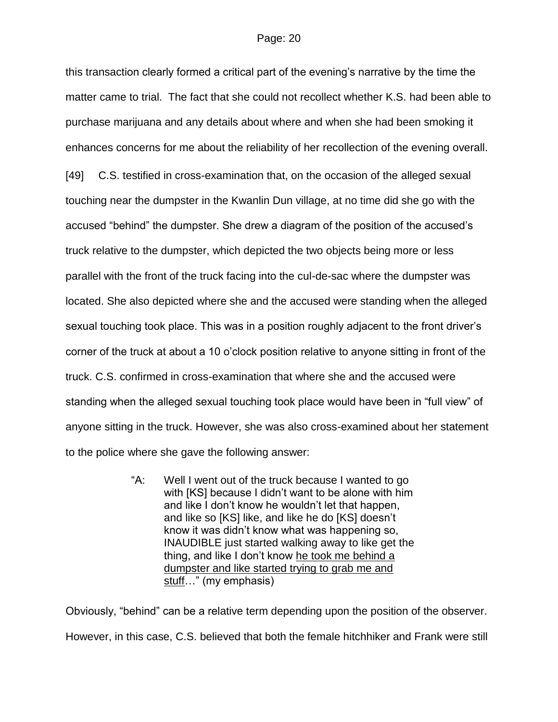this transaction clearly formed a critical part of the evening"s narrative by the time the matter came to trial. The fact that she could not recollect whether K.S. had been able to purchase marijuana and any details about where and when she had been smoking it enhances concerns for me about the reliability of her recollection of the evening overall. [49] C.S. testified in cross-examination that, on the occasion of the alleged sexual touching near the dumpster in the Kwanlin Dun village, at no time did she go with the accused "behind" the dumpster. She drew a diagram of the position of the accused"s truck relative to the dumpster, which depicted the two objects being more or less parallel with the front of the truck facing into the cul-de-sac where the dumpster was located. She also depicted where she and the accused were standing when the alleged sexual touching took place. This was in a position roughly adjacent to the front driver's corner of the truck at about a 10 o"clock position relative to anyone sitting in front of the truck. C.S. confirmed in cross-examination that where she and the accused were standing when the alleged sexual touching took place would have been in "full view" of anyone sitting in the truck. However, she was also cross-examined about her statement to the police where she gave the following answer:

> "A: Well I went out of the truck because I wanted to go with [KS] because I didn"t want to be alone with him and like I don"t know he wouldn"t let that happen, and like so [KS] like, and like he do [KS] doesn"t know it was didn"t know what was happening so, INAUDIBLE just started walking away to like get the thing, and like I don"t know he took me behind a dumpster and like started trying to grab me and stuff..." (my emphasis)

Obviously, "behind" can be a relative term depending upon the position of the observer. However, in this case, C.S. believed that both the female hitchhiker and Frank were still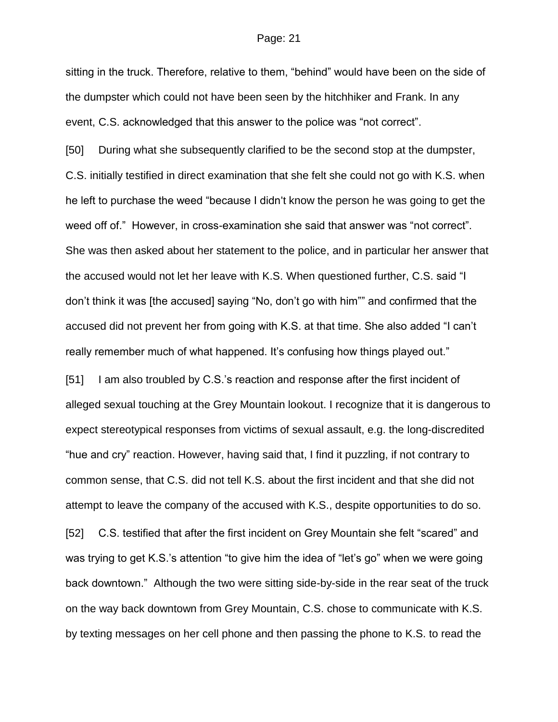sitting in the truck. Therefore, relative to them, "behind" would have been on the side of the dumpster which could not have been seen by the hitchhiker and Frank. In any event, C.S. acknowledged that this answer to the police was "not correct".

[50] During what she subsequently clarified to be the second stop at the dumpster, C.S. initially testified in direct examination that she felt she could not go with K.S. when he left to purchase the weed "because I didn't know the person he was going to get the weed off of." However, in cross-examination she said that answer was "not correct". She was then asked about her statement to the police, and in particular her answer that the accused would not let her leave with K.S. When questioned further, C.S. said "I don"t think it was [the accused] saying "No, don"t go with him"" and confirmed that the accused did not prevent her from going with K.S. at that time. She also added "I can"t really remember much of what happened. It's confusing how things played out."

[51] I am also troubled by C.S."s reaction and response after the first incident of alleged sexual touching at the Grey Mountain lookout. I recognize that it is dangerous to expect stereotypical responses from victims of sexual assault, e.g. the long-discredited "hue and cry" reaction. However, having said that, I find it puzzling, if not contrary to common sense, that C.S. did not tell K.S. about the first incident and that she did not attempt to leave the company of the accused with K.S., despite opportunities to do so. [52] C.S. testified that after the first incident on Grey Mountain she felt "scared" and was trying to get K.S.'s attention "to give him the idea of "let's go" when we were going back downtown." Although the two were sitting side-by-side in the rear seat of the truck on the way back downtown from Grey Mountain, C.S. chose to communicate with K.S. by texting messages on her cell phone and then passing the phone to K.S. to read the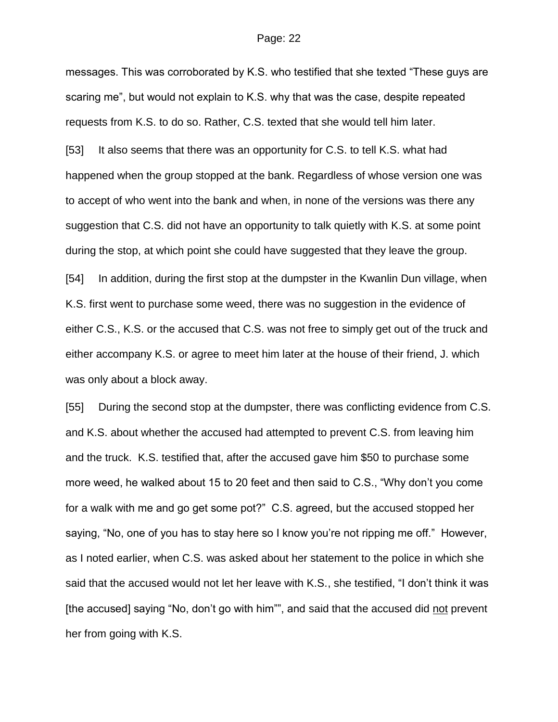messages. This was corroborated by K.S. who testified that she texted "These guys are scaring me", but would not explain to K.S. why that was the case, despite repeated requests from K.S. to do so. Rather, C.S. texted that she would tell him later.

[53] It also seems that there was an opportunity for C.S. to tell K.S. what had happened when the group stopped at the bank. Regardless of whose version one was to accept of who went into the bank and when, in none of the versions was there any suggestion that C.S. did not have an opportunity to talk quietly with K.S. at some point during the stop, at which point she could have suggested that they leave the group. [54] In addition, during the first stop at the dumpster in the Kwanlin Dun village, when K.S. first went to purchase some weed, there was no suggestion in the evidence of either C.S., K.S. or the accused that C.S. was not free to simply get out of the truck and

either accompany K.S. or agree to meet him later at the house of their friend, J. which was only about a block away.

[55] During the second stop at the dumpster, there was conflicting evidence from C.S. and K.S. about whether the accused had attempted to prevent C.S. from leaving him and the truck. K.S. testified that, after the accused gave him \$50 to purchase some more weed, he walked about 15 to 20 feet and then said to C.S., "Why don"t you come for a walk with me and go get some pot?" C.S. agreed, but the accused stopped her saying, "No, one of you has to stay here so I know you"re not ripping me off." However, as I noted earlier, when C.S. was asked about her statement to the police in which she said that the accused would not let her leave with K.S., she testified, "I don"t think it was [the accused] saying "No, don't go with him"", and said that the accused did not prevent her from going with K.S.